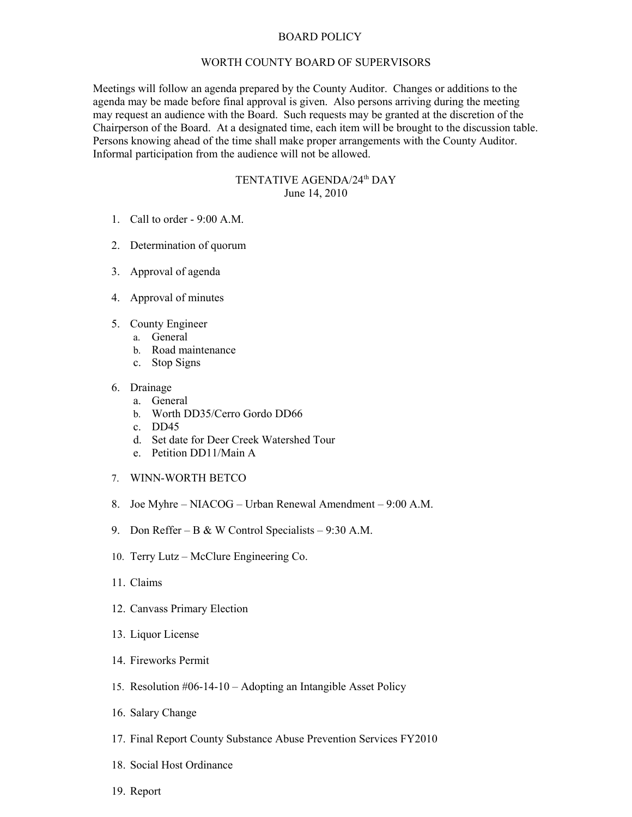## BOARD POLICY

## WORTH COUNTY BOARD OF SUPERVISORS

Meetings will follow an agenda prepared by the County Auditor. Changes or additions to the agenda may be made before final approval is given. Also persons arriving during the meeting may request an audience with the Board. Such requests may be granted at the discretion of the Chairperson of the Board. At a designated time, each item will be brought to the discussion table. Persons knowing ahead of the time shall make proper arrangements with the County Auditor. Informal participation from the audience will not be allowed.

## TENTATIVE AGENDA/24<sup>th</sup> DAY June 14, 2010

- 1. Call to order 9:00 A.M.
- 2. Determination of quorum
- 3. Approval of agenda
- 4. Approval of minutes
- 5. County Engineer
	- a. General
	- b. Road maintenance
	- c. Stop Signs
- 6. Drainage
	- a. General
	- b. Worth DD35/Cerro Gordo DD66
	- c. DD45
	- d. Set date for Deer Creek Watershed Tour
	- e. Petition DD11/Main A
- 7. WINN-WORTH BETCO
- 8. Joe Myhre NIACOG Urban Renewal Amendment 9:00 A.M.
- 9. Don Reffer B & W Control Specialists 9:30 A.M.
- 10. Terry Lutz McClure Engineering Co.
- 11. Claims
- 12. Canvass Primary Election
- 13. Liquor License
- 14. Fireworks Permit
- 15. Resolution #06-14-10 Adopting an Intangible Asset Policy
- 16. Salary Change
- 17. Final Report County Substance Abuse Prevention Services FY2010
- 18. Social Host Ordinance
- 19. Report